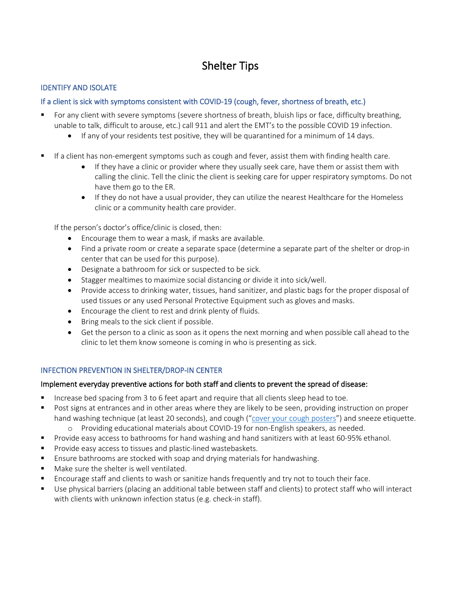# Shelter Tips

# IDENTIFY AND ISOLATE

# If a client is sick with symptoms consistent with COVID-19 (cough, fever, shortness of breath, etc.)

- For any client with severe symptoms (severe shortness of breath, bluish lips or face, difficulty breathing, unable to talk, difficult to arouse, etc.) call 911 and alert the EMT's to the possible COVID 19 infection.
	- If any of your residents test positive, they will be quarantined for a minimum of 14 days.
- If a client has non-emergent symptoms such as cough and fever, assist them with finding health care.
	- If they have a clinic or provider where they usually seek care, have them or assist them with calling the clinic. Tell the clinic the client is seeking care for upper respiratory symptoms. Do not have them go to the ER.
	- If they do not have a usual provider, they can utilize the nearest Healthcare for the Homeless clinic or a community health care provider.

If the person's doctor's office/clinic is closed, then:

- Encourage them to wear a mask, if masks are available.
- Find a private room or create a separate space (determine a separate part of the shelter or drop-in center that can be used for this purpose).
- Designate a bathroom for sick or suspected to be sick.
- Stagger mealtimes to maximize social distancing or divide it into sick/well.
- Provide access to drinking water, tissues, hand sanitizer, and plastic bags for the proper disposal of used tissues or any used Personal Protective Equipment such as gloves and masks.
- Encourage the client to rest and drink plenty of fluids.
- Bring meals to the sick client if possible.
- Get the person to a clinic as soon as it opens the next morning and when possible call ahead to the clinic to let them know someone is coming in who is presenting as sick.

# INFECTION PREVENTION IN SHELTER/DROP-IN CENTER

# Implement everyday preventive actions for both staff and clients to prevent the spread of disease:

- Increase bed spacing from 3 to 6 feet apart and require that all clients sleep head to toe.
- **Post signs at entrances and in other areas where they are likely to be seen, providing instruction on proper** hand washing technique (at least 20 seconds), and cough (["cover your cough](https://www.health.state.mn.us/people/cyc/) posters") and sneeze etiquette.
	- o Providing educational materials about COVID-19 for non-English speakers, as needed.
- Provide easy access to bathrooms for hand washing and hand sanitizers with at least 60-95% ethanol.
- Provide easy access to tissues and plastic-lined wastebaskets.
- Ensure bathrooms are stocked with soap and drying materials for handwashing.
- Make sure the shelter is well ventilated.
- Encourage staff and clients to wash or sanitize hands frequently and try not to touch their face.
- Use physical barriers (placing an additional table between staff and clients) to protect staff who will interact with clients with unknown infection status (e.g. check-in staff).